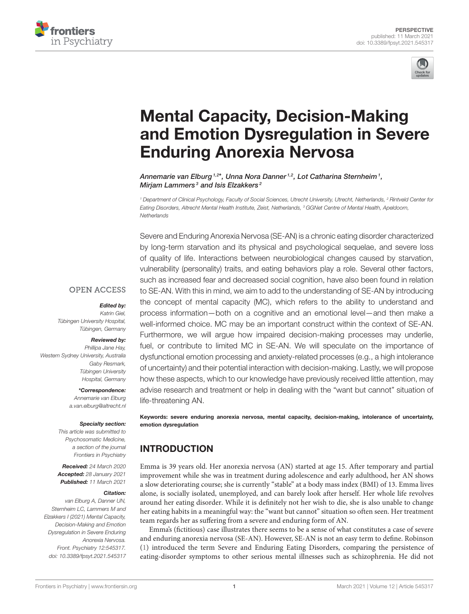



# Mental Capacity, Decision-Making and Emotion Dysregulation in Severe Enduring Anorexia Nervosa

Annemarie van Elburg <sup>1,2\*</sup>, Unna Nora Danner <sup>1,2</sup>, Lot Catharina Sternheim <sup>1</sup>, Mirjam Lammers<sup>3</sup> and Isis Elzakkers<sup>2</sup>

<sup>1</sup> Department of Clinical Psychology, Faculty of Social Sciences, Utrecht University, Utrecht, Netherlands, <sup>2</sup> Rintveld Center for Eating Disorders, Altrecht Mental Health Institute, Zeist, Netherlands, <sup>3</sup> GGNet Centre of Mental Health, Apeldoorn, **Netherlands** 

Severe and Enduring Anorexia Nervosa (SE-AN) is a chronic eating disorder characterized by long-term starvation and its physical and psychological sequelae, and severe loss of quality of life. Interactions between neurobiological changes caused by starvation, vulnerability (personality) traits, and eating behaviors play a role. Several other factors, such as increased fear and decreased social cognition, have also been found in relation to SE-AN. With this in mind, we aim to add to the understanding of SE-AN by introducing the concept of mental capacity (MC), which refers to the ability to understand and process information—both on a cognitive and an emotional level—and then make a well-informed choice. MC may be an important construct within the context of SE-AN. Furthermore, we will argue how impaired decision-making processes may underlie, fuel, or contribute to limited MC in SE-AN. We will speculate on the importance of dysfunctional emotion processing and anxiety-related processes (e.g., a high intolerance of uncertainty) and their potential interaction with decision-making. Lastly, we will propose how these aspects, which to our knowledge have previously received little attention, may advise research and treatment or help in dealing with the "want but cannot" situation of life-threatening AN.

Keywords: severe enduring anorexia nervosa, mental capacity, decision-making, intolerance of uncertainty, emotion dysregulation

# INTRODUCTION

Emma is 39 years old. Her anorexia nervosa (AN) started at age 15. After temporary and partial improvement while she was in treatment during adolescence and early adulthood, her AN shows a slow deteriorating course; she is currently "stable" at a body mass index (BMI) of 13. Emma lives alone, is socially isolated, unemployed, and can barely look after herself. Her whole life revolves around her eating disorder. While it is definitely not her wish to die, she is also unable to change her eating habits in a meaningful way: the "want but cannot" situation so often seen. Her treatment team regards her as suffering from a severe and enduring form of AN.

Emma's (fictitious) case illustrates there seems to be a sense of what constitutes a case of severe and enduring anorexia nervosa (SE-AN). However, SE-AN is not an easy term to define. Robinson [\(1\)](#page-5-0) introduced the term Severe and Enduring Eating Disorders, comparing the persistence of eating-disorder symptoms to other serious mental illnesses such as schizophrenia. He did not

#### **OPEN ACCESS**

#### Edited by: Katrin Giel

Tübingen University Hospital, Tübingen, Germany

#### Reviewed by:

Phillipa Jane Hay, Western Sydney University, Australia Gaby Resmark, Tübingen University Hospital, Germany

\*Correspondence:

Annemarie van Elburg a.van.elburg@altrecht.nl

#### Specialty section:

This article was submitted to Psychosomatic Medicine, a section of the journal Frontiers in Psychiatry

Received: 24 March 2020 Accepted: 28 January 2021 Published: 11 March 2021

#### Citation:

van Elburg A, Danner UN, Sternheim LC, Lammers M and Elzakkers I (2021) Mental Capacity, Decision-Making and Emotion Dysregulation in Severe Enduring Anorexia Nervosa. Front. Psychiatry 12:545317. doi: 10.3389/fpsyt.2021.545317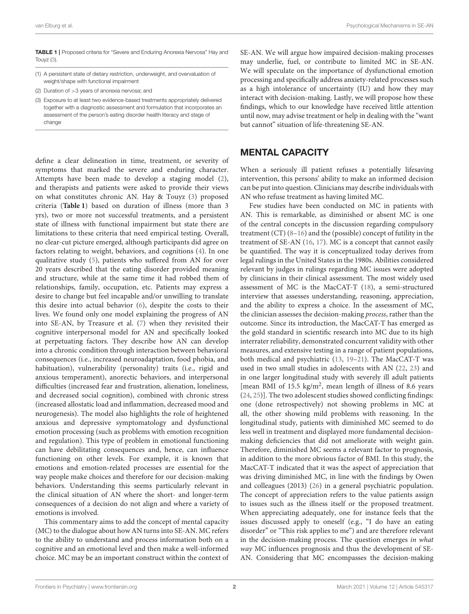<span id="page-1-0"></span>

|               |  | <b>TABLE 1</b>   Proposed criteria for "Severe and Enduring Anorexia Nervosa" Hay and |  |  |
|---------------|--|---------------------------------------------------------------------------------------|--|--|
| Touyz $(3)$ . |  |                                                                                       |  |  |

| (1) A persistent state of dietary restriction, underweight, and overvaluation of |  |
|----------------------------------------------------------------------------------|--|
| weight/shape with functional impairment                                          |  |

- (2) Duration of >3 years of anorexia nervosa; and
- (3) Exposure to at least two evidence-based treatments appropriately delivered together with a diagnostic assessment and formulation that incorporates an assessment of the person's eating disorder health literacy and stage of change

define a clear delineation in time, treatment, or severity of symptoms that marked the severe and enduring character. Attempts have been made to develop a staging model [\(2\)](#page-5-2), and therapists and patients were asked to provide their views on what constitutes chronic AN. Hay & Touyz [\(3\)](#page-5-1) proposed criteria (**[Table 1](#page-1-0)**) based on duration of illness (more than 3 yrs), two or more not successful treatments, and a persistent state of illness with functional impairment but state there are limitations to these criteria that need empirical testing. Overall, no clear-cut picture emerged, although participants did agree on factors relating to weight, behaviors, and cognitions [\(4\)](#page-5-3). In one qualitative study [\(5\)](#page-5-4), patients who suffered from AN for over 20 years described that the eating disorder provided meaning and structure, while at the same time it had robbed them of relationships, family, occupation, etc. Patients may express a desire to change but feel incapable and/or unwilling to translate this desire into actual behavior [\(6\)](#page-5-5), despite the costs to their lives. We found only one model explaining the progress of AN into SE-AN, by Treasure et al. [\(7\)](#page-5-6) when they revisited their cognitive interpersonal model for AN and specifically looked at perpetuating factors. They describe how AN can develop into a chronic condition through interaction between behavioral consequences (i.e., increased neuroadaptation, food phobia, and habituation), vulnerability (personality) traits (i.e., rigid and anxious temperament), anorectic behaviors, and interpersonal difficulties (increased fear and frustration, alienation, loneliness, and decreased social cognition), combined with chronic stress (increased allostatic load and inflammation, decreased mood and neurogenesis). The model also highlights the role of heightened anxious and depressive symptomatology and dysfunctional emotion processing (such as problems with emotion recognition and regulation). This type of problem in emotional functioning can have debilitating consequences and, hence, can influence functioning on other levels. For example, it is known that emotions and emotion-related processes are essential for the way people make choices and therefore for our decision-making behaviors. Understanding this seems particularly relevant in the clinical situation of AN where the short- and longer-term consequences of a decision do not align and where a variety of emotions is involved.

This commentary aims to add the concept of mental capacity (MC) to the dialogue about how AN turns into SE-AN. MC refers to the ability to understand and process information both on a cognitive and an emotional level and then make a well-informed choice. MC may be an important construct within the context of SE-AN. We will argue how impaired decision-making processes may underlie, fuel, or contribute to limited MC in SE-AN. We will speculate on the importance of dysfunctional emotion processing and specifically address anxiety-related processes such as a high intolerance of uncertainty (IU) and how they may interact with decision-making. Lastly, we will propose how these findings, which to our knowledge have received little attention until now, may advise treatment or help in dealing with the "want but cannot" situation of life-threatening SE-AN.

#### MENTAL CAPACITY

When a seriously ill patient refuses a potentially lifesaving intervention, this persons' ability to make an informed decision can be put into question. Clinicians may describe individuals with AN who refuse treatment as having limited MC.

Few studies have been conducted on MC in patients with AN. This is remarkable, as diminished or absent MC is one of the central concepts in the discussion regarding compulsory treatment (CT) [\(8–](#page-5-7)[16\)](#page-5-8) and the (possible) concept of futility in the treatment of SE-AN [\(16,](#page-5-8) [17\)](#page-5-9). MC is a concept that cannot easily be quantified. The way it is conceptualized today derives from legal rulings in the United States in the 1980s. Abilities considered relevant by judges in rulings regarding MC issues were adopted by clinicians in their clinical assessment. The most widely used assessment of MC is the MacCAT-T [\(18\)](#page-5-10), a semi-structured interview that assesses understanding, reasoning, appreciation, and the ability to express a choice. In the assessment of MC, the clinician assesses the decision-making process, rather than the outcome. Since its introduction, the MacCAT-T has emerged as the gold standard in scientific research into MC due to its high interrater reliability, demonstrated concurrent validity with other measures, and extensive testing in a range of patient populations, both medical and psychiatric [\(13,](#page-5-11) [19–](#page-5-12)[21\)](#page-5-13). The MacCAT-T was used in two small studies in adolescents with AN [\(22,](#page-5-14) [23\)](#page-5-15) and in one larger longitudinal study with severely ill adult patients [mean BMI of 15.5  $\text{kg/m}^2$ , mean length of illness of 8.6 years [\(24,](#page-5-16) [25\)](#page-5-17)]. The two adolescent studies showed conflicting findings: one (done retrospectively) not showing problems in MC at all, the other showing mild problems with reasoning. In the longitudinal study, patients with diminished MC seemed to do less well in treatment and displayed more fundamental decisionmaking deficiencies that did not ameliorate with weight gain. Therefore, diminished MC seems a relevant factor to prognosis, in addition to the more obvious factor of BMI. In this study, the MacCAT-T indicated that it was the aspect of appreciation that was driving diminished MC, in line with the findings by Owen and colleagues (2013) [\(26\)](#page-5-18) in a general psychiatric population. The concept of appreciation refers to the value patients assign to issues such as the illness itself or the proposed treatment. When appreciating adequately, one for instance feels that the issues discussed apply to oneself (e.g., "I do have an eating disorder" or "This risk applies to me") and are therefore relevant in the decision-making process. The question emerges in what way MC influences prognosis and thus the development of SE-AN. Considering that MC encompasses the decision-making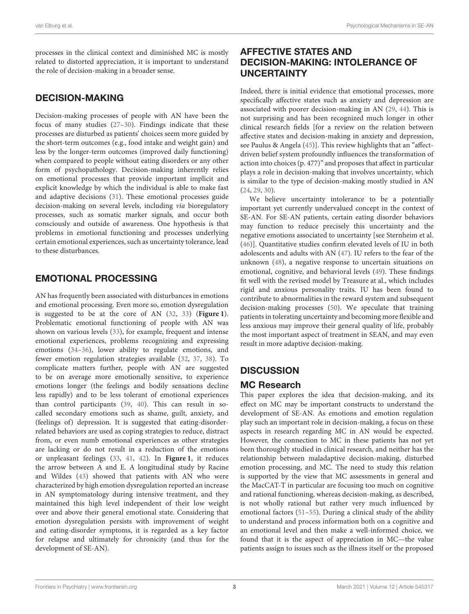processes in the clinical context and diminished MC is mostly related to distorted appreciation, it is important to understand the role of decision-making in a broader sense.

#### DECISION-MAKING

Decision-making processes of people with AN have been the focus of many studies [\(27–](#page-5-19)[30\)](#page-5-20). Findings indicate that these processes are disturbed as patients' choices seem more guided by the short-term outcomes (e.g., food intake and weight gain) and less by the longer-term outcomes (improved daily functioning) when compared to people without eating disorders or any other form of psychopathology. Decision-making inherently relies on emotional processes that provide important implicit and explicit knowledge by which the individual is able to make fast and adaptive decisions [\(31\)](#page-5-21). These emotional processes guide decision-making on several levels, including via bioregulatory processes, such as somatic marker signals, and occur both consciously and outside of awareness. One hypothesis is that problems in emotional functioning and processes underlying certain emotional experiences, such as uncertainty tolerance, lead to these disturbances.

## EMOTIONAL PROCESSING

AN has frequently been associated with disturbances in emotions and emotional processing. Even more so, emotion dysregulation is suggested to be at the core of AN [\(32,](#page-5-22) [33\)](#page-5-23) (**[Figure 1](#page-3-0)**). Problematic emotional functioning of people with AN was shown on various levels [\(33\)](#page-5-23), for example, frequent and intense emotional experiences, problems recognizing and expressing emotions [\(34–](#page-5-24)[36\)](#page-5-25), lower ability to regulate emotions, and fewer emotion regulation strategies available [\(32,](#page-5-22) [37,](#page-5-26) [38\)](#page-5-27). To complicate matters further, people with AN are suggested to be on average more emotionally sensitive, to experience emotions longer (the feelings and bodily sensations decline less rapidly) and to be less tolerant of emotional experiences than control participants [\(39,](#page-5-28) [40\)](#page-5-29). This can result in socalled secondary emotions such as shame, guilt, anxiety, and (feelings of) depression. It is suggested that eating-disorderrelated behaviors are used as coping strategies to reduce, distract from, or even numb emotional experiences as other strategies are lacking or do not result in a reduction of the emotions or unpleasant feelings [\(33,](#page-5-23) [41,](#page-6-0) [42\)](#page-6-1). In **[Figure 1](#page-3-0)**, it reduces the arrow between A and E. A longitudinal study by Racine and Wildes [\(43\)](#page-6-2) showed that patients with AN who were characterized by high emotion dysregulation reported an increase in AN symptomatology during intensive treatment, and they maintained this high level independent of their low weight over and above their general emotional state. Considering that emotion dysregulation persists with improvement of weight and eating-disorder symptoms, it is regarded as a key factor for relapse and ultimately for chronicity (and thus for the development of SE-AN).

### AFFECTIVE STATES AND DECISION-MAKING: INTOLERANCE OF UNCERTAINTY

Indeed, there is initial evidence that emotional processes, more specifically affective states such as anxiety and depression are associated with poorer decision-making in AN [\(29,](#page-5-30) [44\)](#page-6-3). This is not surprising and has been recognized much longer in other clinical research fields [for a review on the relation between affective states and decision-making in anxiety and depression, see Paulus & Angela [\(45\)](#page-6-4)]. This review highlights that an "affectdriven belief system profoundly influences the transformation of action into choices (p. 477)" and proposes that affect in particular plays a role in decision-making that involves uncertainty, which is similar to the type of decision-making mostly studied in AN [\(24,](#page-5-16) [29,](#page-5-30) [30\)](#page-5-20).

We believe uncertainty intolerance to be a potentially important yet currently undervalued concept in the context of SE-AN. For SE-AN patients, certain eating disorder behaviors may function to reduce precisely this uncertainty and the negative emotions associated to uncertainty [see Sternheim et al. [\(46\)](#page-6-5)]. Quantitative studies confirm elevated levels of IU in both adolescents and adults with AN [\(47\)](#page-6-6). IU refers to the fear of the unknown [\(48\)](#page-6-7), a negative response to uncertain situations on emotional, cognitive, and behavioral levels [\(49\)](#page-6-8). These findings fit well with the revised model by Treasure at al., which includes rigid and anxious personality traits. IU has been found to contribute to abnormalities in the reward system and subsequent decision-making processes [\(50\)](#page-6-9). We speculate that training patients in tolerating uncertainty and becoming more flexible and less anxious may improve their general quality of life, probably the most important aspect of treatment in SEAN, and may even result in more adaptive decision-making.

### **DISCUSSION**

#### MC Research

This paper explores the idea that decision-making, and its effect on MC may be important constructs to understand the development of SE-AN. As emotions and emotion regulation play such an important role in decision-making, a focus on these aspects in research regarding MC in AN would be expected. However, the connection to MC in these patients has not yet been thoroughly studied in clinical research, and neither has the relationship between maladaptive decision-making, disturbed emotion processing, and MC. The need to study this relation is supported by the view that MC assessments in general and the MacCAT-T in particular are focusing too much on cognitive and rational functioning, whereas decision-making, as described, is not wholly rational but rather very much influenced by emotional factors [\(51](#page-6-10)[–55\)](#page-6-11). During a clinical study of the ability to understand and process information both on a cognitive and an emotional level and then make a well-informed choice, we found that it is the aspect of appreciation in MC—the value patients assign to issues such as the illness itself or the proposed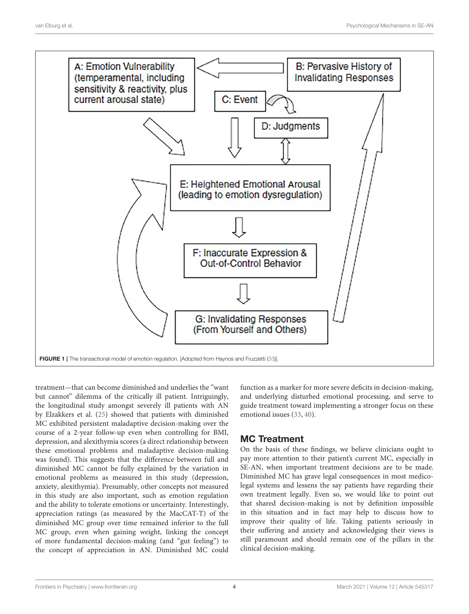

<span id="page-3-0"></span>treatment—that can become diminished and underlies the "want but cannot" dilemma of the critically ill patient. Intriguingly, the longitudinal study amongst severely ill patients with AN by Elzakkers et al. [\(25\)](#page-5-17) showed that patients with diminished MC exhibited persistent maladaptive decision-making over the course of a 2-year follow-up even when controlling for BMI, depression, and alexithymia scores (a direct relationship between these emotional problems and maladaptive decision-making was found). This suggests that the difference between full and diminished MC cannot be fully explained by the variation in emotional problems as measured in this study (depression, anxiety, alexithymia). Presumably, other concepts not measured in this study are also important, such as emotion regulation and the ability to tolerate emotions or uncertainty. Interestingly, appreciation ratings (as measured by the MacCAT-T) of the diminished MC group over time remained inferior to the full MC group, even when gaining weight, linking the concept of more fundamental decision-making (and "gut feeling") to the concept of appreciation in AN. Diminished MC could

function as a marker for more severe deficits in decision-making, and underlying disturbed emotional processing, and serve to guide treatment toward implementing a stronger focus on these emotional issues [\(33,](#page-5-23) [40\)](#page-5-29).

### MC Treatment

On the basis of these findings, we believe clinicians ought to pay more attention to their patient's current MC, especially in SE-AN, when important treatment decisions are to be made. Diminished MC has grave legal consequences in most medicolegal systems and lessens the say patients have regarding their own treatment legally. Even so, we would like to point out that shared decision-making is not by definition impossible in this situation and in fact may help to discuss how to improve their quality of life. Taking patients seriously in their suffering and anxiety and acknowledging their views is still paramount and should remain one of the pillars in the clinical decision-making.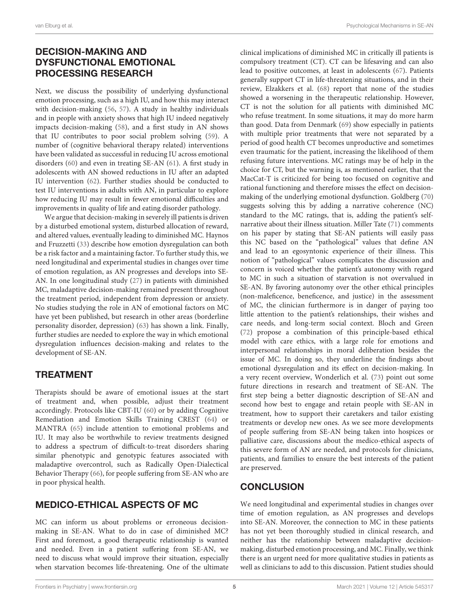### DECISION-MAKING AND DYSFUNCTIONAL EMOTIONAL PROCESSING RESEARCH

Next, we discuss the possibility of underlying dysfunctional emotion processing, such as a high IU, and how this may interact with decision-making [\(56,](#page-6-12) [57\)](#page-6-13). A study in healthy individuals and in people with anxiety shows that high IU indeed negatively impacts decision-making [\(58\)](#page-6-14), and a first study in AN shows that IU contributes to poor social problem solving [\(59\)](#page-6-15). A number of (cognitive behavioral therapy related) interventions have been validated as successful in reducing IU across emotional disorders [\(60\)](#page-6-16) and even in treating SE-AN [\(61\)](#page-6-17). A first study in adolescents with AN showed reductions in IU after an adapted IU intervention [\(62\)](#page-6-18). Further studies should be conducted to test IU interventions in adults with AN, in particular to explore how reducing IU may result in fewer emotional difficulties and improvements in quality of life and eating disorder pathology.

We argue that decision-making in severely ill patients is driven by a disturbed emotional system, disturbed allocation of reward, and altered values, eventually leading to diminished MC. Haynos and Fruzzetti [\(33\)](#page-5-23) describe how emotion dysregulation can both be a risk factor and a maintaining factor. To further study this, we need longitudinal and experimental studies in changes over time of emotion regulation, as AN progresses and develops into SE-AN. In one longitudinal study [\(27\)](#page-5-19) in patients with diminished MC, maladaptive decision-making remained present throughout the treatment period, independent from depression or anxiety. No studies studying the role in AN of emotional factors on MC have yet been published, but research in other areas (borderline personality disorder, depression) [\(63\)](#page-6-19) has shown a link. Finally, further studies are needed to explore the way in which emotional dysregulation influences decision-making and relates to the development of SE-AN.

# TREATMENT

Therapists should be aware of emotional issues at the start of treatment and, when possible, adjust their treatment accordingly. Protocols like CBT-IU [\(60\)](#page-6-16) or by adding Cognitive Remediation and Emotion Skills Training CREST [\(64\)](#page-6-20) or MANTRA [\(65\)](#page-6-21) include attention to emotional problems and IU. It may also be worthwhile to review treatments designed to address a spectrum of difficult-to-treat disorders sharing similar phenotypic and genotypic features associated with maladaptive overcontrol, such as Radically Open-Dialectical Behavior Therapy [\(66\)](#page-6-22), for people suffering from SE-AN who are in poor physical health.

### MEDICO-ETHICAL ASPECTS OF MC

MC can inform us about problems or erroneous decisionmaking in SE-AN. What to do in case of diminished MC? First and foremost, a good therapeutic relationship is wanted and needed. Even in a patient suffering from SE-AN, we need to discuss what would improve their situation, especially when starvation becomes life-threatening. One of the ultimate

clinical implications of diminished MC in critically ill patients is compulsory treatment (CT). CT can be lifesaving and can also lead to positive outcomes, at least in adolescents [\(67\)](#page-6-23). Patients generally support CT in life-threatening situations, and in their review, Elzakkers et al. [\(68\)](#page-6-24) report that none of the studies showed a worsening in the therapeutic relationship. However, CT is not the solution for all patients with diminished MC who refuse treatment. In some situations, it may do more harm than good. Data from Denmark [\(69\)](#page-6-25) show especially in patients with multiple prior treatments that were not separated by a period of good health CT becomes unproductive and sometimes even traumatic for the patient, increasing the likelihood of them refusing future interventions. MC ratings may be of help in the choice for CT, but the warning is, as mentioned earlier, that the MacCat-T is criticized for being too focused on cognitive and rational functioning and therefore misses the effect on decisionmaking of the underlying emotional dysfunction. Goldberg [\(70\)](#page-6-26) suggests solving this by adding a narrative coherence (NC) standard to the MC ratings, that is, adding the patient's selfnarrative about their illness situation. Miller Tate [\(71\)](#page-6-27) comments on his paper by stating that SE-AN patients will easily pass this NC based on the "pathological" values that define AN and lead to an egosyntonic experience of their illness. This notion of "pathological" values complicates the discussion and concern is voiced whether the patient's autonomy with regard to MC in such a situation of starvation is not overvalued in SE-AN. By favoring autonomy over the other ethical principles (non-maleficence, beneficence, and justice) in the assessment of MC, the clinician furthermore is in danger of paying too little attention to the patient's relationships, their wishes and care needs, and long-term social context. Bloch and Green [\(72\)](#page-6-28) propose a combination of this principle-based ethical model with care ethics, with a large role for emotions and interpersonal relationships in moral deliberation besides the issue of MC. In doing so, they underline the findings about emotional dysregulation and its effect on decision-making. In a very recent overview, Wonderlich et al. [\(73\)](#page-6-29) point out some future directions in research and treatment of SE-AN. The first step being a better diagnostic description of SE-AN and second how best to engage and retain people with SE-AN in treatment, how to support their caretakers and tailor existing treatments or develop new ones. As we see more developments of people suffering from SE-AN being taken into hospices or palliative care, discussions about the medico-ethical aspects of this severe form of AN are needed, and protocols for clinicians, patients, and families to ensure the best interests of the patient are preserved.

# **CONCLUSION**

We need longitudinal and experimental studies in changes over time of emotion regulation, as AN progresses and develops into SE-AN. Moreover, the connection to MC in these patients has not yet been thoroughly studied in clinical research, and neither has the relationship between maladaptive decisionmaking, disturbed emotion processing, and MC. Finally, we think there is an urgent need for more qualitative studies in patients as well as clinicians to add to this discussion. Patient studies should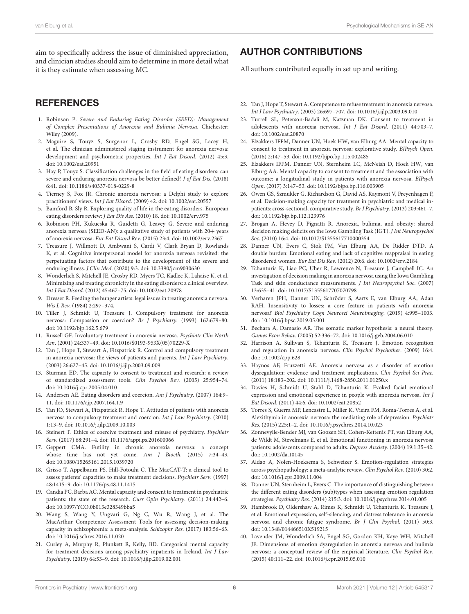aim to specifically address the issue of diminished appreciation, and clinician studies should aim to determine in more detail what it is they estimate when assessing MC.

#### **REFERENCES**

- <span id="page-5-0"></span>1. Robinson P. Severe and Enduring Eating Disorder (SEED): Management of Complex Presentations of Anorexia and Bulimia Nervosa. Chichester: Wiley (2009).
- <span id="page-5-2"></span>2. Maguire S, Touyz S, Surgenor L, Crosby RD, Engel SG, Lacey H, et al. The clinician administered staging instrument for anorexia nervosa: development and psychometric properties. Int J Eat Disord. (2012) 45:3. doi: 10.1002/eat.20951
- <span id="page-5-1"></span>3. Hay P, Touyz S. Classification challenges in the field of eating disorders: can severe and enduring anorexia nervosa be better defined? J of Eat Dis. (2018) 6:41. doi: 10.1186/s40337-018-0229-8
- <span id="page-5-3"></span>4. Tierney S, Fox JR. Chronic anorexia nervosa: a Delphi study to explore practitioners' views. Int J Eat Disord. (2009) 42. doi: 10.1002/eat.20557
- <span id="page-5-4"></span>5. Bamford B, Sly R. Exploring quality of life in the eating disorders. European eating disorders review: J Eat Dis Ass. (2010) 18. doi: 10.1002/erv.975
- <span id="page-5-5"></span>6. Robinson PH, Kukucska R, Guidetti G, Leavey G. Severe and enduring anorexia nervosa (SEED-AN): a qualitative study of patients with 20+ years of anorexia nervosa. Eur Eat Disord Rev. (2015) 23:4. doi: 10.1002/erv.2367
- <span id="page-5-6"></span>7. Treasure J, Willmott D, Ambwani S, Cardi V, Clark Bryan D, Rowlands K, et al. Cognitive interpersonal model for anorexia nervosa revisited: the perpetuating factors that contribute to the development of the severe and enduring illness. J Clin Med. (2020) 9:3. doi: 10.3390/jcm9030630
- <span id="page-5-7"></span>8. Wonderlich S, Mitchell JE, Crosby RD, Myers TC, Kadlec K, Lahaise K, et al. Minimizing and treating chronicity in the eating disorders: a clinical overview. Int J Eat Disord. (2012) 45:467–75. doi: 10.1002/eat.20978
- Dresser R. Feeding the hunger artists: legal issues in treating anorexia nervosa. Wis L Rev. (1984) 2:297–374.
- 10. Tiller J, Schmidt U, Treasure J. Compulsory treatment for anorexia nervosa: Compassion or coercion? Br J Psychiatry. (1993) 162:679–80. doi: 10.1192/bjp.162.5.679
- 11. Russell GF. Involuntary treatment in anorexia nervosa. Psychiatr Clin North Am. (2001) 24:337–49. doi: 10.1016/S0193-953X(05)70229-X
- 12. Tan J, Hope T, Stewart A, Fitzpatrick R. Control and compulsory treatment in anorexia nervosa: the views of patients and parents. Int J Law Psychiatry. (2003) 26:627–45. doi: 10.1016/j.ijlp.2003.09.009
- <span id="page-5-11"></span>13. Sturman ED. The capacity to consent to treatment and research: a review of standardized assessment tools. Clin Psychol Rev. (2005) 25:954–74. doi: 10.1016/j.cpr.2005.04.010
- 14. Andersen AE. Eating disorders and coercion. Am J Psychiatry. (2007) 164:9– 11. doi: 10.1176/ajp.2007.164.1.9
- 15. Tan JO, Stewart A, Fitzpatrick R, Hope T. Attitudes of patients with anorexia nervosa to compulsory treatment and coercion. Int J Law Psychiatry. (2010) 1:13–9. doi: 10.1016/j.ijlp.2009.10.003
- <span id="page-5-8"></span>16. Steinert T. Ethics of coercive treatment and misuse of psychiatry. Psychiatr Serv. (2017) 68:291–4. doi: 10.1176/appi.ps.201600066
- <span id="page-5-9"></span>17. Geppert CMA. Futility in chronic anorexia nervosa: a concept whose time has not yet come. Am J Bioeth. (2015) 7:34-43. doi: 10.1080/15265161.2015.1039720
- <span id="page-5-10"></span>18. Grisso T, Appelbaum PS, Hill-Fotouhi C. The MacCAT-T: a clinical tool to assess patients' capacities to make treatment decisions. Psychiatr Serv. (1997) 48:1415–9. doi: 10.1176/ps.48.11.1415
- <span id="page-5-12"></span>19. Candia PC, Barba AC. Mental capacity and consent to treatment in psychiatric patients: the state of the research. Curr Opin Psychiatry. (2011) 24:442–6. doi: 10.1097/YCO.0b013e328349bba5
- 20. Wang S, Wang Y, Ungvari G, Ng C, Wu R, Wang J, et al. The MacArthur Competence Assessment Tools for assessing decision-making capacity in schizophrenia: a meta-analysis. Schizophr Res. (2017) 183:56–63. doi: 10.1016/j.schres.2016.11.020
- <span id="page-5-13"></span>21. Curley A, Murphy R, Plunkett R, Kelly, BD. Categorical mental capacity for treatment decisions among psychiatry inpatients in Ireland. Int J Law Psychiatry. (2019) 64:53–9. doi: 10.1016/j.ijlp.2019.02.001

### AUTHOR CONTRIBUTIONS

All authors contributed equally in set up and writing.

- <span id="page-5-14"></span>22. Tan J, Hope T, Stewart A. Competence to refuse treatment in anorexia nervosa. Int J Law Psychiatry. (2003) 26:697–707. doi: 10.1016/j.ijlp.2003.09.010
- <span id="page-5-15"></span>23. Turrell SL, Peterson-Badali M, Katzman DK. Consent to treatment in adolescents with anorexia nervosa. Int J Eat Disord. (2011) 44:703–7. doi: 10.1002/eat.20870
- <span id="page-5-16"></span>24. Elzakkers IFFM, Danner UN, Hoek HW, van Elburg AA. Mental capacity to consent to treatment in anorexia nervosa: explorative study. BJPsych Open. (2016) 2:147–53. doi: 10.1192/bjpo.bp.115.002485
- <span id="page-5-17"></span>25. Elzakkers IFFM, Danner UN, Sternheim LC, McNeish D, Hoek HW, van Elburg AA. Mental capacity to consent to treatment and the association with outcome: a longitudinal study in patients with anorexia nervosa. BJPsych Open. (2017) 3:147–53. doi: 10.1192/bjpo.bp.116.003905
- <span id="page-5-18"></span>26. Owen GS, Szmukler G, Richardson G, David AS, Raymont V, Freyenhagen F, et al. Decision-making capacity for treatment in psychiatric and medical inpatients: cross-sectional, comparative study. Br J Psychiatry. (2013) 203:461–7. doi: 10.1192/bjp.bp.112.123976
- <span id="page-5-19"></span>27. Brogan A, Hevey D, Pignatti R. Anorexia, bulimia, and obesity: shared decision making deficits on the Iowa Gambling Task (IGT). J Int Neuropsychol Soc. (2010) 16:4. doi: 10.1017/S1355617710000354
- 28. Danner UN, Evers C, Stok FM, Van Elburg AA, De Ridder DTD. A double burden: Emotional eating and lack of cognitive reappraisal in eating disordered women. Eur Eat Dis Rev. (2012) 20:6. doi: 10.1002/erv.2184
- <span id="page-5-30"></span>29. Tchanturia K, Liao PC, Uher R, Lawrence N, Treasure J, Campbell IC. An investigation of decision making in anorexia nervosa using the Iowa Gambling Task and skin conductance measurements. J Int Neuropsychol Soc. (2007) 13:635–41. doi: 10.1017/S1355617707070798
- <span id="page-5-20"></span>30. Verharen JPH, Danner UN, Schröder S, Aarts E, van Elburg AA, Adan RAH. Insensitivity to losses: a core feature in patients with anorexia nervosa? Biol Psychiatry Cogn Neurosci Neuroimaging. (2019) 4:995–1003. doi: 10.1016/j.bpsc.2019.05.001
- <span id="page-5-21"></span>31. Bechara A, Damasio AR. The somatic marker hypothesis: a neural theory. Games Econ Behav. (2005) 52:336–72. doi: 10.1016/j.geb.2004.06.010
- <span id="page-5-22"></span>32. Harrison A, Sullivan S, Tchanturia K, Treasure J. Emotion recognition and regulation in anorexia nervosa. Clin Psychol Psychother. (2009) 16:4. doi: 10.1002/cpp.628
- <span id="page-5-23"></span>33. Haynos AF, Fruzzetti AE. Anorexia nervosa as a disorder of emotion dysregulation: evidence and treatment implications. Clin Psychol Sci Prac. (2011) 18:183–202. doi: 10.1111/j.1468-2850.2011.01250.x
- <span id="page-5-24"></span>34. Davies H, Schmidt U, Stahl D, Tchanturia K. Evoked facial emotional expression and emotional experience in people with anorexia nervosa. Int J Eat Disord. (2011) 44:6. doi: 10.1002/eat.20852
- 35. Torres S, Guerra MP, Lencastre L, Miller K, Vieira FM, Roma-Torres A, et al. Alexithymia in anorexia nervosa: the mediating role of depression. Psychiatr Res. (2015) 225:1–2. doi: 10.1016/j.psychres.2014.10.023
- <span id="page-5-25"></span>36. Zonnevylle-Bender MJ, van Goozen SH, Cohen-Kettenis PT, van Elburg AA, de Wildt M, Stevelmans E, et al. Emotional functioning in anorexia nervosa patients: adolescents compared to adults. Depress Anxiety. (2004) 19:1:35–42. doi: 10.1002/da.10145
- <span id="page-5-26"></span>37. Aldao A, Nolen-Hoeksema S, Schweizer S. Emotion-regulation strategies across psychopathology: a meta-analytic review. Clin Psychol Rev. (2010) 30:2. doi: 10.1016/j.cpr.2009.11.004
- <span id="page-5-27"></span>38. Danner UN, Sternheim L, Evers C. The importance of distinguishing between the different eating disorders (sub)types when assessing emotion regulation strategies. Psychiatry Res. (2014) 215:3. doi: 10.1016/j.psychres.2014.01.005
- <span id="page-5-28"></span>39. Hambrook D, Oldershaw A, Rimes K, Schmidt U, Tchanturia K, Treasure J, et al. Emotional expression, self-silencing, and distress tolerance in anorexia nervosa and chronic fatigue syndrome. Br J Clin Psychol. (2011) 50:3. doi: 10.1348/014466510X519215
- <span id="page-5-29"></span>40. Lavender JM, Wonderlich SA, Engel SG, Gordon KH, Kaye WH, Mitchell JE. Dimensions of emotion dysregulation in anorexia nervosa and bulimia nervosa: a conceptual review of the empirical literature. Clin Psychol Rev. (2015) 40:111–22. doi: 10.1016/j.cpr.2015.05.010